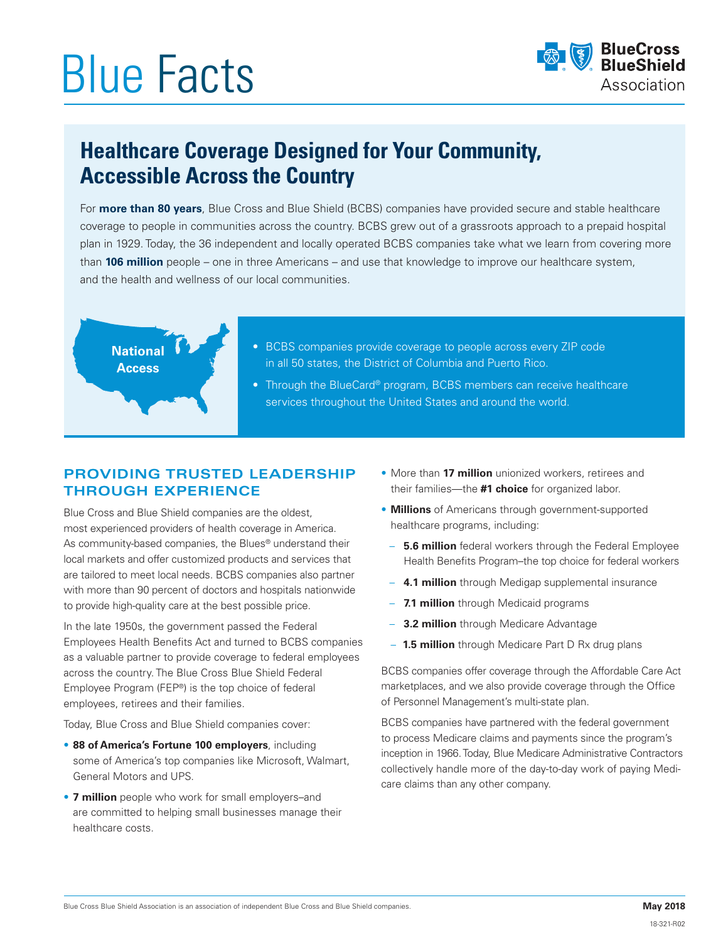# Blue Facts



## **Healthcare Coverage Designed for Your Community, Accessible Across the Country**

For **more than 80 years**, Blue Cross and Blue Shield (BCBS) companies have provided secure and stable healthcare coverage to people in communities across the country. BCBS grew out of a grassroots approach to a prepaid hospital plan in 1929. Today, the 36 independent and locally operated BCBS companies take what we learn from covering more than **106 million** people – one in three Americans – and use that knowledge to improve our healthcare system, and the health and wellness of our local communities.



- BCBS companies provide coverage to people across every ZIP code in all 50 states, the District of Columbia and Puerto Rico.
- Through the BlueCard® program, BCBS members can receive healthcare services throughout the United States and around the world.

### **PROVIDING TRUSTED LEADERSHIP THROUGH EXPERIENCE**

Blue Cross and Blue Shield companies are the oldest, most experienced providers of health coverage in America. As community-based companies, the Blues<sup>®</sup> understand their local markets and offer customized products and services that are tailored to meet local needs. BCBS companies also partner with more than 90 percent of doctors and hospitals nationwide to provide high-quality care at the best possible price.

In the late 1950s, the government passed the Federal Employees Health Benefits Act and turned to BCBS companies as a valuable partner to provide coverage to federal employees across the country. The Blue Cross Blue Shield Federal Employee Program (FEP®) is the top choice of federal employees, retirees and their families.

Today, Blue Cross and Blue Shield companies cover:

- **88 of America's Fortune 100 employers**, including some of America's top companies like Microsoft, Walmart, General Motors and UPS.
- **7 million** people who work for small employers–and are committed to helping small businesses manage their healthcare costs.
- More than **17 million** unionized workers, retirees and their families—the **#1 choice** for organized labor.
- **Millions** of Americans through government-supported healthcare programs, including:
- **5.6 million** federal workers through the Federal Employee Health Benefits Program–the top choice for federal workers
- **4.1 million** through Medigap supplemental insurance
- **7.1 million** through Medicaid programs
- **3.2 million** through Medicare Advantage
- **1.5 million** through Medicare Part D Rx drug plans

BCBS companies offer coverage through the Affordable Care Act marketplaces, and we also provide coverage through the Office of Personnel Management's multi-state plan.

BCBS companies have partnered with the federal government to process Medicare claims and payments since the program's inception in 1966. Today, Blue Medicare Administrative Contractors collectively handle more of the day-to-day work of paying Medicare claims than any other company.